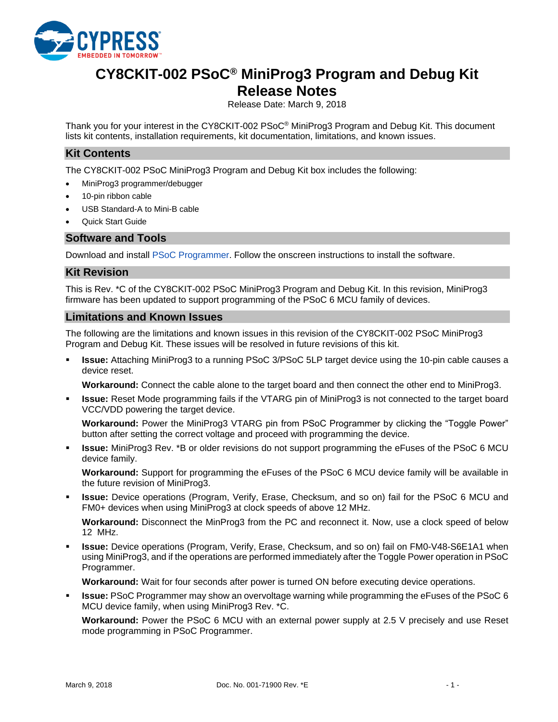

# **CY8CKIT-002 PSoC® MiniProg3 Program and Debug Kit Release Notes**

Release Date: March 9, 2018

Thank you for your interest in the CY8CKIT-002 PSoC® MiniProg3 Program and Debug Kit. This document lists kit contents, installation requirements, kit documentation, limitations, and known issues.

#### **Kit Contents**

The CY8CKIT-002 PSoC MiniProg3 Program and Debug Kit box includes the following:

- MiniProg3 programmer/debugger
- 10-pin ribbon cable
- USB Standard-A to Mini-B cable
- Quick Start Guide

#### **Software and Tools**

Download and install [PSoC Programmer.](http://www.cypress.com/psocprogrammer) Follow the onscreen instructions to install the software.

#### **Kit Revision**

This is Rev. \*C of the CY8CKIT-002 PSoC MiniProg3 Program and Debug Kit. In this revision, MiniProg3 firmware has been updated to support programming of the PSoC 6 MCU family of devices.

#### **Limitations and Known Issues**

The following are the limitations and known issues in this revision of the CY8CKIT-002 PSoC MiniProg3 Program and Debug Kit. These issues will be resolved in future revisions of this kit.

**Issue:** Attaching MiniProg3 to a running PSoC 3/PSoC 5LP target device using the 10-pin cable causes a device reset.

**Workaround:** Connect the cable alone to the target board and then connect the other end to MiniProg3.

**Issue:** Reset Mode programming fails if the VTARG pin of MiniProg3 is not connected to the target board VCC/VDD powering the target device.

**Workaround:** Power the MiniProg3 VTARG pin from PSoC Programmer by clicking the "Toggle Power" button after setting the correct voltage and proceed with programming the device.

**Issue:** MiniProg3 Rev. \*B or older revisions do not support programming the eFuses of the PSoC 6 MCU device family.

**Workaround:** Support for programming the eFuses of the PSoC 6 MCU device family will be available in the future revision of MiniProg3.

**Issue:** Device operations (Program, Verify, Erase, Checksum, and so on) fail for the PSoC 6 MCU and FM0+ devices when using MiniProg3 at clock speeds of above 12 MHz.

**Workaround:** Disconnect the MinProg3 from the PC and reconnect it. Now, use a clock speed of below 12 MHz.

**Issue:** Device operations (Program, Verify, Erase, Checksum, and so on) fail on FM0-V48-S6E1A1 when using MiniProg3, and if the operations are performed immediately after the Toggle Power operation in PSoC Programmer.

**Workaround:** Wait for four seconds after power is turned ON before executing device operations.

▪ **Issue:** PSoC Programmer may show an overvoltage warning while programming the eFuses of the PSoC 6 MCU device family, when using MiniProg3 Rev. \*C.

**Workaround:** Power the PSoC 6 MCU with an external power supply at 2.5 V precisely and use Reset mode programming in PSoC Programmer.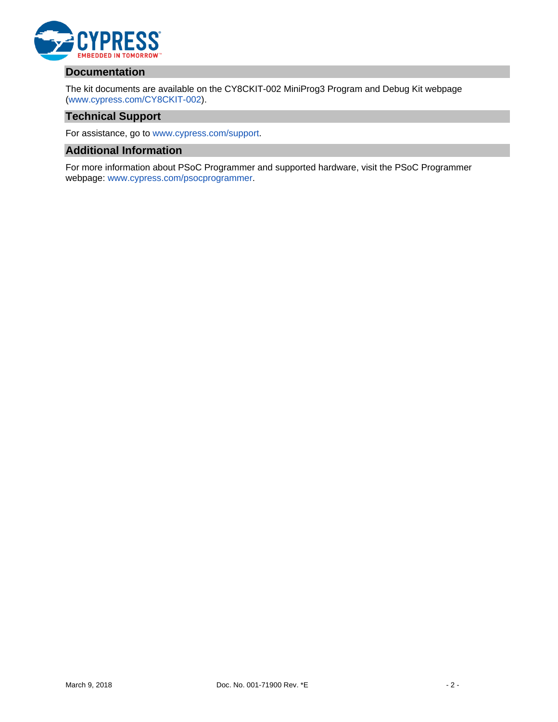

## **Documentation**

The kit documents are available on the CY8CKIT-002 MiniProg3 Program and Debug Kit webpage [\(www.cypress.com/CY8CKIT-002\)](http://www.cypress.com/CY8CKIT-002).

### **Technical Support**

For assistance, go to [www.cypress.com/support.](http://www.cypress.com/support)

## **Additional Information**

For more information about PSoC Programmer and supported hardware, visit the PSoC Programmer webpage: [www.cypress.com/psocprogrammer.](http://www.cypress.com/psocprogrammer)